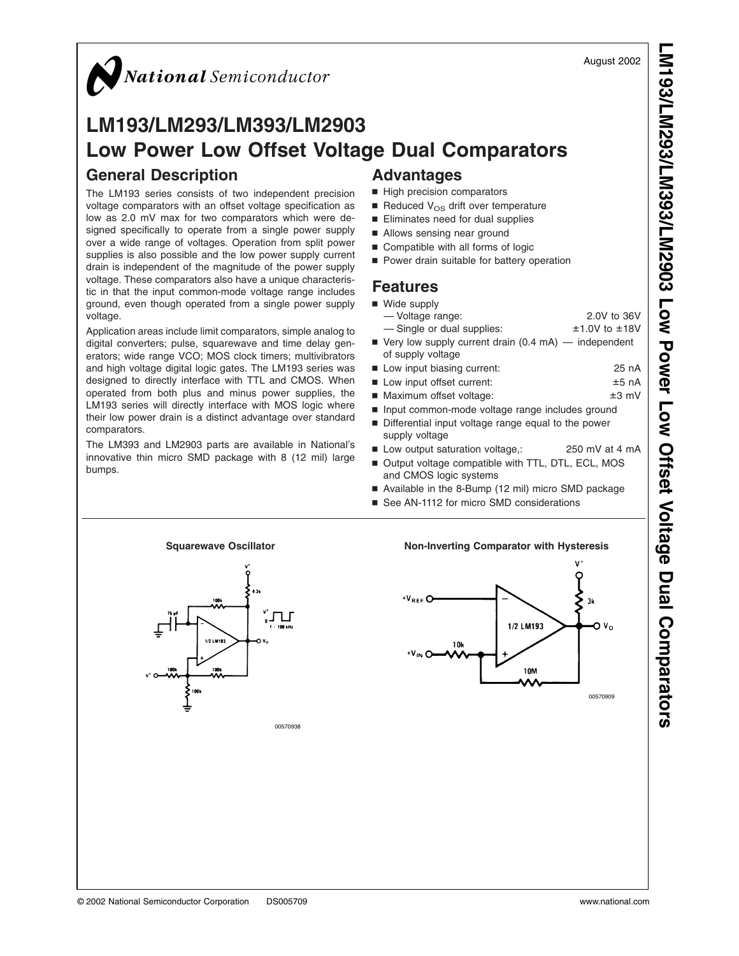August 2002

# National Semiconductor

### **LM193/LM293/LM393/LM2903 Low Power Low Offset Voltage Dual Comparators General Description Advantages**

The LM193 series consists of two independent precision voltage comparators with an offset voltage specification as low as 2.0 mV max for two comparators which were designed specifically to operate from a single power supply over a wide range of voltages. Operation from split power supplies is also possible and the low power supply current drain is independent of the magnitude of the power supply voltage. These comparators also have a unique characteristic in that the input common-mode voltage range includes ground, even though operated from a single power supply voltage.

Application areas include limit comparators, simple analog to digital converters; pulse, squarewave and time delay generators; wide range VCO; MOS clock timers; multivibrators and high voltage digital logic gates. The LM193 series was designed to directly interface with TTL and CMOS. When operated from both plus and minus power supplies, the LM193 series will directly interface with MOS logic where their low power drain is a distinct advantage over standard comparators.

The LM393 and LM2903 parts are available in National's innovative thin micro SMD package with 8 (12 mil) large bumps.

- $\blacksquare$  High precision comparators
- Reduced  $V_{OS}$  drift over temperature
- Eliminates need for dual supplies
- Allows sensing near ground
- Compatible with all forms of logic
- Power drain suitable for battery operation

#### **Features**

| ■ Wide supply                                                       |                   |
|---------------------------------------------------------------------|-------------------|
| - Voltage range:                                                    | 2.0V to 36V       |
| - Single or dual supplies:                                          | $±1.0V$ to $±18V$ |
| $\blacksquare$ Very low supply current drain (0.4 mA) — independent |                   |
| of supply voltage                                                   |                   |
| ■ Low input biasing current:                                        | 25 nA             |
| ■ Low input offset current:                                         | $±5$ nA           |
| ■ Maximum offset voltage:                                           | $±3$ mV           |
| Input common-mode voltage range includes ground                     |                   |
| Differential input voltage range equal to the power                 |                   |
| supply voltage                                                      |                   |
| ■ Low output saturation voltage,:                                   | 250 mV at 4 mA    |
| ■ Output voltage compatible with TTL, DTL, ECL, MOS                 |                   |
| and CMOS logic systems                                              |                   |
| Available in the 8-Bump (12 mil) micro SMD package                  |                   |
| ■ See AN-1112 for micro SMD considerations                          |                   |
|                                                                     |                   |
|                                                                     |                   |



00570938

#### Squarewave Oscillator **Non-Inverting Comparator with Hysteresis**

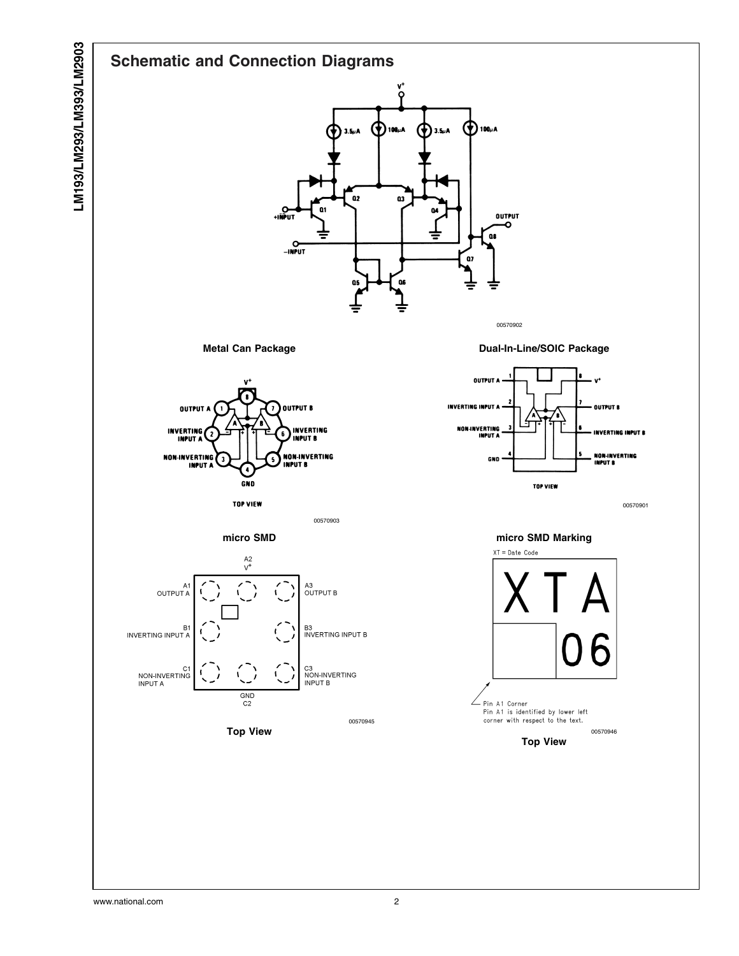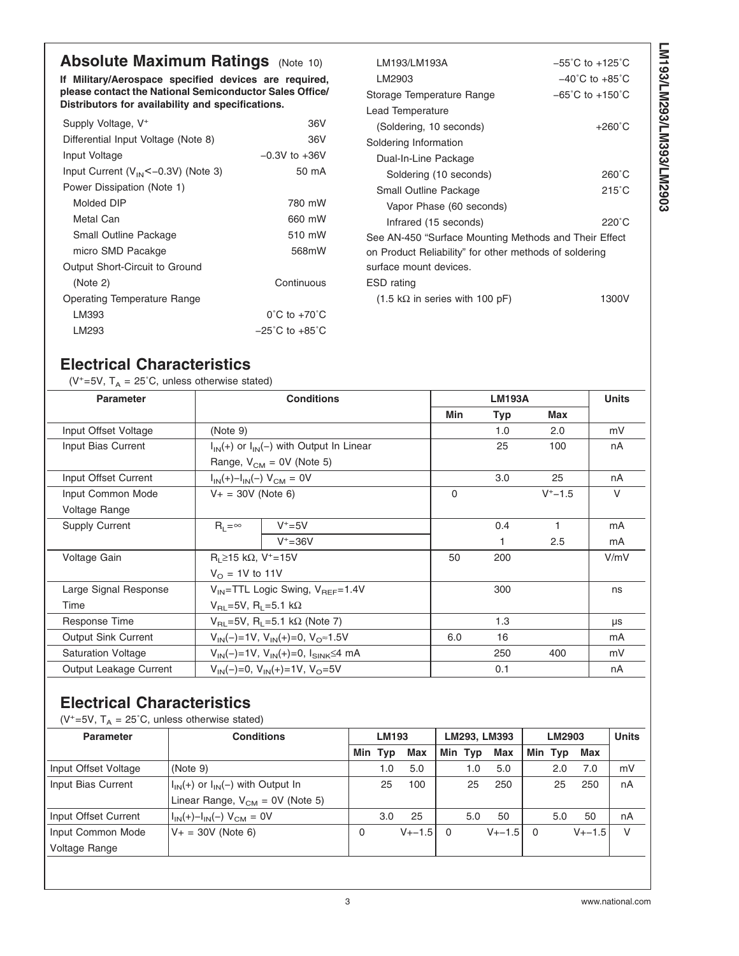# **Absolute Maximum Ratings** [\(Note 10\)](#page-4-0)

**If Military/Aerospace specified devices are required, please contact the National Semiconductor Sales Office/ Distributors for availability and specifications.**

| Supply Voltage, V <sup>+</sup>          | 36V                                |
|-----------------------------------------|------------------------------------|
| Differential Input Voltage (Note 8)     | 36V                                |
| Input Voltage                           | $-0.3V$ to $+36V$                  |
| Input Current $(V_{IN}<-0.3V)$ (Note 3) | 50 mA                              |
| Power Dissipation (Note 1)              |                                    |
| Molded DIP                              | 780 mW                             |
| Metal Can                               | 660 mW                             |
| Small Outline Package                   | 510 mW                             |
| micro SMD Pacakge                       | 568mW                              |
| Output Short-Circuit to Ground          |                                    |
| (Note 2)                                | Continuous                         |
| <b>Operating Temperature Range</b>      |                                    |
| LM393                                   | $0^{\circ}$ C to +70 $^{\circ}$ C  |
| LM293                                   | $-25^{\circ}$ C to $+85^{\circ}$ C |
|                                         |                                    |

| LM193/LM193A                                           | $-55^{\circ}$ C to $+125^{\circ}$ C |
|--------------------------------------------------------|-------------------------------------|
| LM2903                                                 | $-40^{\circ}$ C to $+85^{\circ}$ C  |
| Storage Temperature Range                              | $-65^{\circ}$ C to $+150^{\circ}$ C |
| Lead Temperature                                       |                                     |
| (Soldering, 10 seconds)                                | $+260^{\circ}$ C                    |
| Soldering Information                                  |                                     |
| Dual-In-Line Package                                   |                                     |
| Soldering (10 seconds)                                 | $260^{\circ}$ C                     |
| Small Outline Package                                  | 215°C                               |
| Vapor Phase (60 seconds)                               |                                     |
| Infrared (15 seconds)                                  | $220^{\circ}$ C                     |
| See AN-450 "Surface Mounting Methods and Their Effect  |                                     |
| on Product Reliability" for other methods of soldering |                                     |
| surface mount devices.                                 |                                     |
| ESD rating                                             |                                     |
| $(1.5 \text{ k}\Omega$ in series with 100 pF)          | 1300V                               |

# **Electrical Characteristics**

( $V^+=5V$ ,  $T_A = 25^\circ C$ , unless otherwise stated)

| <b>Parameter</b>           |                                                         | <b>Conditions</b>                                |          | <b>LM193A</b> | <b>Units</b> |        |
|----------------------------|---------------------------------------------------------|--------------------------------------------------|----------|---------------|--------------|--------|
|                            |                                                         |                                                  | Min      | <b>Typ</b>    | Max          |        |
| Input Offset Voltage       | (Note 9)                                                |                                                  |          | 1.0           | 2.0          | mV     |
| Input Bias Current         |                                                         | $I_{IN}(+)$ or $I_{IN}(-)$ with Output In Linear |          | 25            | 100          | nA     |
|                            |                                                         | Range, $V_{CM} = 0V$ (Note 5)                    |          |               |              |        |
| Input Offset Current       |                                                         | $I_{IN}(+) - I_{IN}(-) V_{CM} = 0V$              |          | 3.0           | 25           | nA     |
| Input Common Mode          | $V_+ = 30V$ (Note 6)                                    |                                                  | $\Omega$ |               | $V^+ - 1.5$  | $\vee$ |
| Voltage Range              |                                                         |                                                  |          |               |              |        |
| <b>Supply Current</b>      | $R_1 = \infty$                                          | $V^+$ =5V                                        |          | 0.4           |              | mA     |
|                            |                                                         | $V^+ = 36V$                                      |          |               | 2.5          | mA     |
| Voltage Gain               | $R_1$ ≥15 kΩ, V <sup>+</sup> =15V                       |                                                  | 50       | 200           |              | V/mV   |
|                            | $V_{\Omega}$ = 1V to 11V                                |                                                  |          |               |              |        |
| Large Signal Response      |                                                         | $V_{IN}$ =TTL Logic Swing, $V_{BFE}$ =1.4V       |          | 300           |              | ns     |
| Time                       |                                                         | $V_{\text{B1}} = 5V$ , R <sub>1</sub> = 5.1 kΩ   |          |               |              |        |
| Response Time              | $V_{\text{BI}}$ =5V, R <sub>1</sub> =5.1 kΩ (Note 7)    |                                                  |          | 1.3           |              | μs     |
| <b>Output Sink Current</b> | $V_{IN}(-)=1V$ , $V_{IN}(+) = 0$ , $V_{O} \approx 1.5V$ |                                                  | 6.0      | 16            |              | mA     |
| <b>Saturation Voltage</b>  | $V_{IN}(-)=1V$ , $V_{IN}(+) = 0$ , $I_{SINK} \le 4$ mA  |                                                  |          | 250           | 400          | mV     |
| Output Leakage Current     |                                                         | $V_{IN}(-)=0$ , $V_{IN}(+) = 1V$ , $V_{O} = 5V$  |          | 0.1           |              | nA     |

# **Electrical Characteristics**

( $V^+=5V$ ,  $T_A = 25^{\circ}C$ , unless otherwise stated)

| <b>Parameter</b>     | <b>Conditions</b>                         | <b>LM193</b> |         | LM293, LM393 |   |         | LM2903      |          |         | <b>Units</b> |    |
|----------------------|-------------------------------------------|--------------|---------|--------------|---|---------|-------------|----------|---------|--------------|----|
|                      |                                           |              | Min Typ | <b>Max</b>   |   | Min Typ | Max         |          | Min Typ | Max          |    |
| Input Offset Voltage | (Note 9)                                  |              | 1.0     | 5.0          |   | 1.0     | 5.0         |          | 2.0     | 7.0          | mV |
| Input Bias Current   | $I_{IN}(+)$ or $I_{IN}(-)$ with Output In |              | 25      | 100          |   | 25      | 250         |          | 25      | 250          | nA |
|                      | Linear Range, $V_{CM} = 0V$ (Note 5)      |              |         |              |   |         |             |          |         |              |    |
| Input Offset Current | $I_{IN}(+) - I_{IN}(-) V_{CM} = 0V$       |              | 3.0     | 25           |   | 5.0     | 50          |          | 5.0     | 50           | nA |
| Input Common Mode    | $V_+ = 30V$ (Note 6)                      | 0            |         | $V_{+-}1.5$  | 0 |         | $V_{+-}1.5$ | $\Omega$ |         | $V_{+-}1.5$  | V  |
| <b>Voltage Range</b> |                                           |              |         |              |   |         |             |          |         |              |    |
|                      |                                           |              |         |              |   |         |             |          |         |              |    |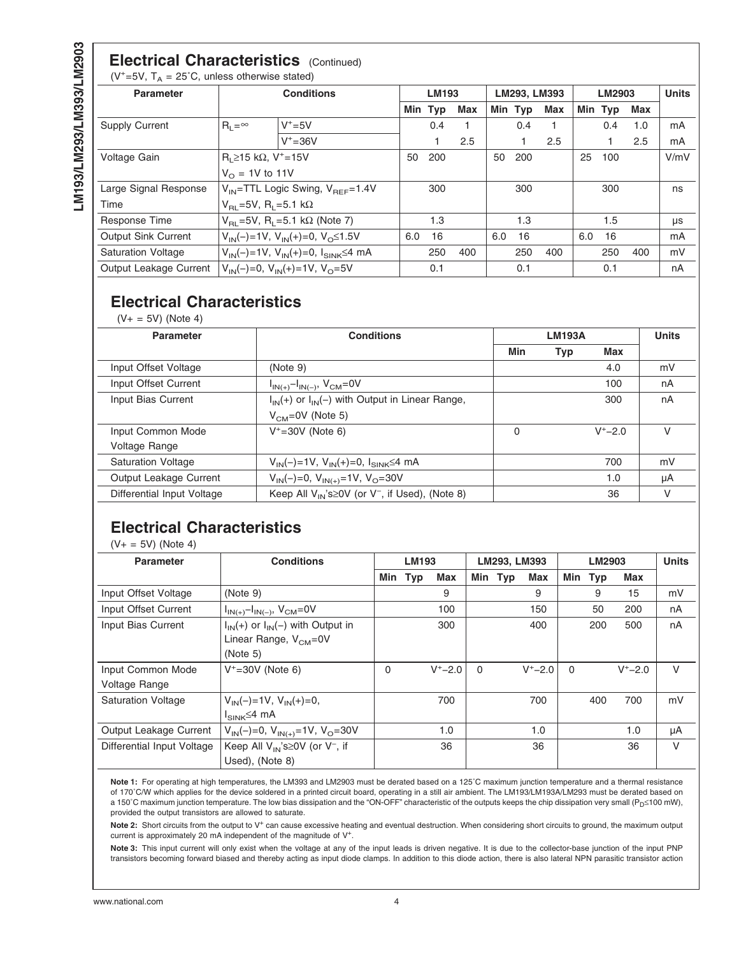#### <span id="page-3-0"></span>**Electrical Characteristics** (Continued) ( $V^+=5V$ ,  $T_A = 25^{\circ}C$ , unless otherwise stated)

**Parameter Conditions LM193 LM293, LM393 LM2903 Units** Min Typ Max | Min Typ Max | Min Typ Max Supply Current  $\begin{vmatrix} R_L = ∞ & |V^+ = 5V & | & 0.4 & 1 & | & 0.4 & 1 & | & 0.4 & 1.0 & | \text{mA} \end{vmatrix}$ V+=36V 1 2.5 1 2.5 1 2.5 mA Voltage Gain R<sub>L</sub>≥15 kΩ, V<sup>+</sup>=15V 50 200 50 200 25 100 V/mV  $V_{\text{O}} = 1V$  to 11V Large Signal Response  $|V_{IN}=$ TTL Logic Swing,  $V_{REF}=1.4V$  300 300 300 300 ns Time  $V_{\text{RL}}=5V$ , R<sub>L</sub>=5.1 kΩ Response Time  $V_{\text{RL}}$ =5V, R<sub>L</sub>=5.1 kΩ [\(Note 7\)](#page-4-0) 1.3 1.3 1.3 1.5 μs Output Sink Current  $V_{IN}(-)=1V$ ,  $V_{IN}(+) = 0$ ,  $V_{O} \le 1.5V$  6.0 16 6.0 16 6.0 16 mA Saturation Voltage  $|V_{IN}(-)=1V$ ,  $V_{IN}(+) = 0$ ,  $|V_{IN}(\leq 4)$  mA  $|$  250 400  $|$  250 400  $|$  250 400  $|$  mV Output Leakage Current  $V_{IN}(-)=0$ ,  $V_{IN}(+)$ =1V,  $V_{O}=5V$  0.1 0.1 0.1 0.1 nA

# **Electrical Characteristics**

 $(V_{+} = 5V)$  [\(Note 4\)](#page-4-0)

| <b>Parameter</b>           | <b>Conditions</b>                                             | <b>LM193A</b> |            |             | <b>Units</b> |
|----------------------------|---------------------------------------------------------------|---------------|------------|-------------|--------------|
|                            |                                                               | Min           | <b>Typ</b> | Max         |              |
| Input Offset Voltage       | (Note 9)                                                      |               |            | 4.0         | mV           |
| Input Offset Current       | $I_{IN(+)} - I_{IN(-)}$ , $V_{CM} = 0V$                       |               |            | 100         | nA           |
| Input Bias Current         | $I_{IN}(+)$ or $I_{IN}(-)$ with Output in Linear Range,       |               |            | 300         | nA           |
|                            | $VCM=0V$ (Note 5)                                             |               |            |             |              |
| Input Common Mode          | $V^+ = 30V$ (Note 6)                                          | $\Omega$      |            | $V^+ - 2.0$ | V            |
| Voltage Range              |                                                               |               |            |             |              |
| <b>Saturation Voltage</b>  | $V_{IN}(-)=1V$ , $V_{IN}(+) = 0$ , $I_{SINK} \le 4$ mA        |               |            | 700         | mV           |
| Output Leakage Current     | $V_{IN}(-)=0$ , $V_{IN(+)}=1$ V, $V_{O}=30$ V                 |               |            | 1.0         | μA           |
| Differential Input Voltage | Keep All $V_{IN}$ 's $\geq$ 0V (or $V^-$ , if Used), (Note 8) |               |            | 36          | v            |

# **Electrical Characteristics**

 $(V + = 5V)$  [\(Note 4\)](#page-4-0)

| <b>Parameter</b>                   | <b>Conditions</b>                                                                    | <b>LM193</b> |            | LM293, LM393 |          |         | LM2903      |          |            | <b>Units</b> |    |
|------------------------------------|--------------------------------------------------------------------------------------|--------------|------------|--------------|----------|---------|-------------|----------|------------|--------------|----|
|                                    |                                                                                      | Min          | <b>Typ</b> | Max          |          | Min Typ | <b>Max</b>  | Min      | <b>Typ</b> | Max          |    |
| Input Offset Voltage               | (Note 9)                                                                             |              |            | 9            |          |         | 9           |          | 9          | 15           | mV |
| Input Offset Current               | $I_{IN(+)} - I_{IN(-)}$ , $V_{CM} = 0V$                                              |              |            | 100          |          |         | 150         |          | 50         | 200          | nA |
| Input Bias Current                 | $I_{IN}(+)$ or $I_{IN}(-)$ with Output in<br>Linear Range, $V_{CM} = 0V$<br>(Note 5) |              |            | 300          |          |         | 400         |          | 200        | 500          | nA |
| Input Common Mode<br>Voltage Range | $V^+ = 30V$ (Note 6)                                                                 | $\Omega$     |            | $V^+ - 2.0$  | $\Omega$ |         | $V^+ - 2.0$ | $\Omega$ |            | $V^+ - 2.0$  | V  |
| <b>Saturation Voltage</b>          | $V_{IN}(-)=1V$ , $V_{IN}(+) = 0$ ,<br>$I_{\text{SINK}} \leq 4 \text{ mA}$            |              |            | 700          |          |         | 700         |          | 400        | 700          | mV |
| Output Leakage Current             | $V_{IN}(-)=0$ , $V_{IN(+)}=1V$ , $V_{O}=30V$                                         |              |            | 1.0          |          |         | 1.0         |          |            | 1.0          | μA |
| Differential Input Voltage         | Keep All $V_{IN}$ 's $\geq$ 0V (or $V^-$ , if<br>Used), (Note 8)                     |              |            | 36           |          |         | 36          |          |            | 36           | V  |

**Note 1:** For operating at high temperatures, the LM393 and LM2903 must be derated based on a 125˚C maximum junction temperature and a thermal resistance of 170˚C/W which applies for the device soldered in a printed circuit board, operating in a still air ambient. The LM193/LM193A/LM293 must be derated based on a 150℃ maximum junction temperature. The low bias dissipation and the "ON-OFF" characteristic of the outputs keeps the chip dissipation very small (P<sub>D</sub>≤100 mW), provided the output transistors are allowed to saturate.

Note 2: Short circuits from the output to V<sup>+</sup> can cause excessive heating and eventual destruction. When considering short circuits to ground, the maximum output current is approximately 20 mA independent of the magnitude of V+.

**Note 3:** This input current will only exist when the voltage at any of the input leads is driven negative. It is due to the collector-base junction of the input PNP transistors becoming forward biased and thereby acting as input diode clamps. In addition to this diode action, there is also lateral NPN parasitic transistor action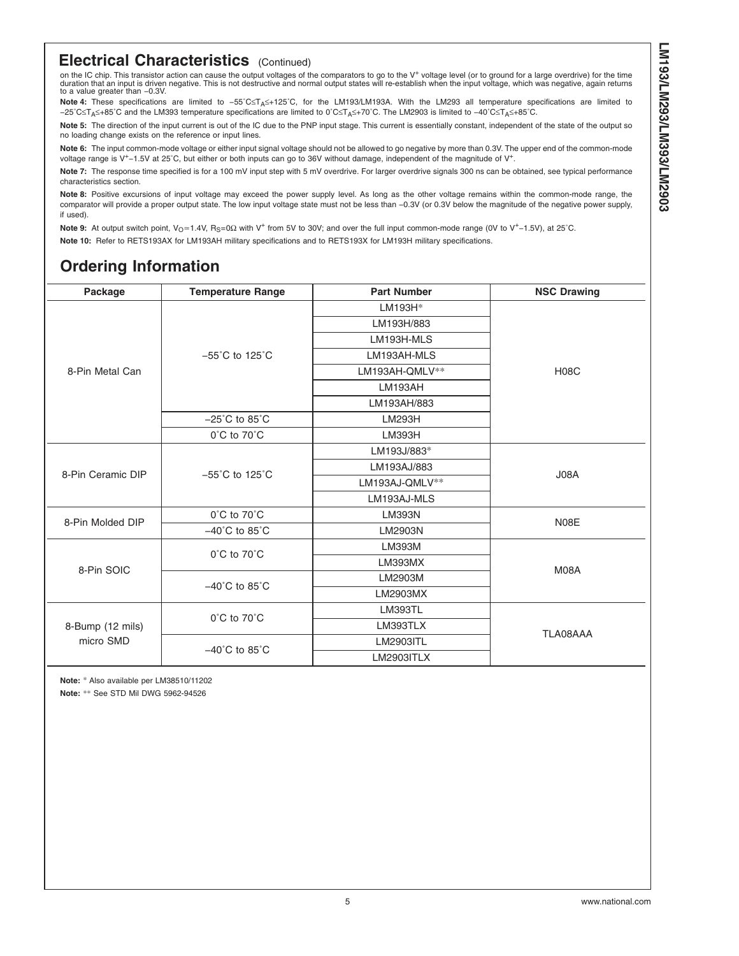#### <span id="page-4-0"></span>**Electrical Characteristics** (Continued)

on the IC chip. This transistor action can cause the output voltages of the comparators to go to the V<sup>+</sup> voltage level (or to ground for a large overdrive) for the time<br>duration that an input is driven negative. This is n to a value greater than −0.3V.

Note 4: These specifications are limited to -55°C≤T<sub>A</sub>≤+125°C, for the LM193/LM193A. With the LM293 all temperature specifications are limited to −25°C≤T<sub>A</sub>≤+85°C and the LM393 temperature specifications are limited to 0°C≤T<sub>A</sub>≤+70°C. The LM2903 is limited to −40°C≤T<sub>A</sub>≤+85°C.

**Note 5:** The direction of the input current is out of the IC due to the PNP input stage. This current is essentially constant, independent of the state of the output so no loading change exists on the reference or input lines.

**Note 6:** The input common-mode voltage or either input signal voltage should not be allowed to go negative by more than 0.3V. The upper end of the common-mode voltage range is V+−1.5V at 25˚C, but either or both inputs can go to 36V without damage, independent of the magnitude of V+.

**Note 7:** The response time specified is for a 100 mV input step with 5 mV overdrive. For larger overdrive signals 300 ns can be obtained, see typical performance characteristics section.

**Note 8:** Positive excursions of input voltage may exceed the power supply level. As long as the other voltage remains within the common-mode range, the comparator will provide a proper output state. The low input voltage state must not be less than −0.3V (or 0.3V below the magnitude of the negative power supply, if used).

Note 9: At output switch point, V<sub>O</sub> ≈ 1.4V, R<sub>S</sub>=0Ω with V<sup>+</sup> from 5V to 30V; and over the full input common-mode range (0V to V<sup>+</sup>-1.5V), at 25°C. **Note 10:** Refer to RETS193AX for LM193AH military specifications and to RETS193X for LM193H military specifications.

# **Ordering Information**

| Package           | <b>Temperature Range</b><br><b>Part Number</b> |                | <b>NSC Drawing</b> |  |  |  |  |
|-------------------|------------------------------------------------|----------------|--------------------|--|--|--|--|
|                   |                                                | LM193H*        |                    |  |  |  |  |
|                   |                                                | LM193H/883     |                    |  |  |  |  |
|                   |                                                | LM193H-MLS     |                    |  |  |  |  |
|                   | $-55^{\circ}$ C to 125 $^{\circ}$ C            | LM193AH-MLS    |                    |  |  |  |  |
| 8-Pin Metal Can   |                                                | LM193AH-QMLV** | <b>H08C</b>        |  |  |  |  |
|                   |                                                | LM193AH        |                    |  |  |  |  |
|                   |                                                | LM193AH/883    |                    |  |  |  |  |
|                   | $-25^{\circ}$ C to 85 $^{\circ}$ C             | <b>LM293H</b>  |                    |  |  |  |  |
|                   | $0^{\circ}$ C to $70^{\circ}$ C                | LM393H         |                    |  |  |  |  |
|                   |                                                | LM193J/883*    |                    |  |  |  |  |
|                   |                                                |                |                    |  |  |  |  |
| 8-Pin Ceramic DIP | $-55^{\circ}$ C to 125 $^{\circ}$ C            | J08A           |                    |  |  |  |  |
|                   |                                                | LM193AJ-MLS    |                    |  |  |  |  |
|                   | 0°C to 70°C                                    | <b>LM393N</b>  |                    |  |  |  |  |
| 8-Pin Molded DIP  | $-40^{\circ}$ C to 85 $^{\circ}$ C             | LM2903N        | N08E               |  |  |  |  |
|                   |                                                | LM393M         |                    |  |  |  |  |
| 8-Pin SOIC        | $0^{\circ}$ C to $70^{\circ}$ C                | <b>LM393MX</b> | M08A               |  |  |  |  |
|                   | $-40^{\circ}$ C to 85 $^{\circ}$ C             | LM2903M        |                    |  |  |  |  |
|                   |                                                | LM2903MX       |                    |  |  |  |  |
|                   |                                                | <b>LM393TL</b> |                    |  |  |  |  |
| 8-Bump (12 mils)  | 0°C to 70°C                                    | LM393TLX       |                    |  |  |  |  |
| micro SMD         | $-40^{\circ}$ C to 85 $^{\circ}$ C             | LM2903ITL      | TLA08AAA           |  |  |  |  |
|                   |                                                | LM2903ITLX     |                    |  |  |  |  |

**Note:** \* Also available per LM38510/11202

**Note:** \*\* See STD Mil DWG 5962-94526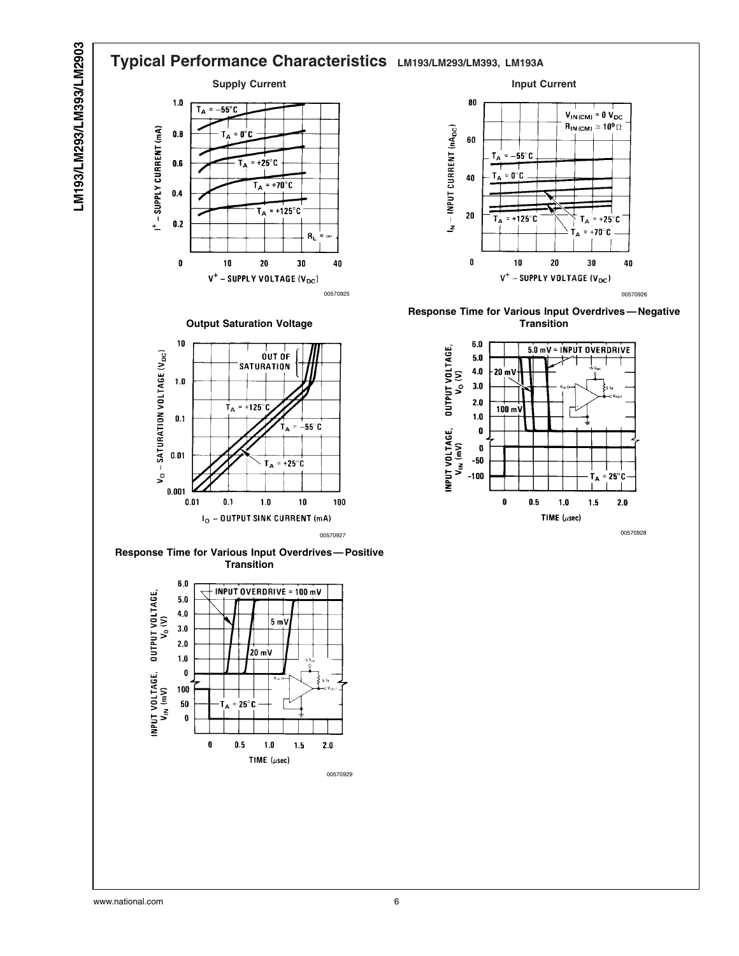



www.national.com 6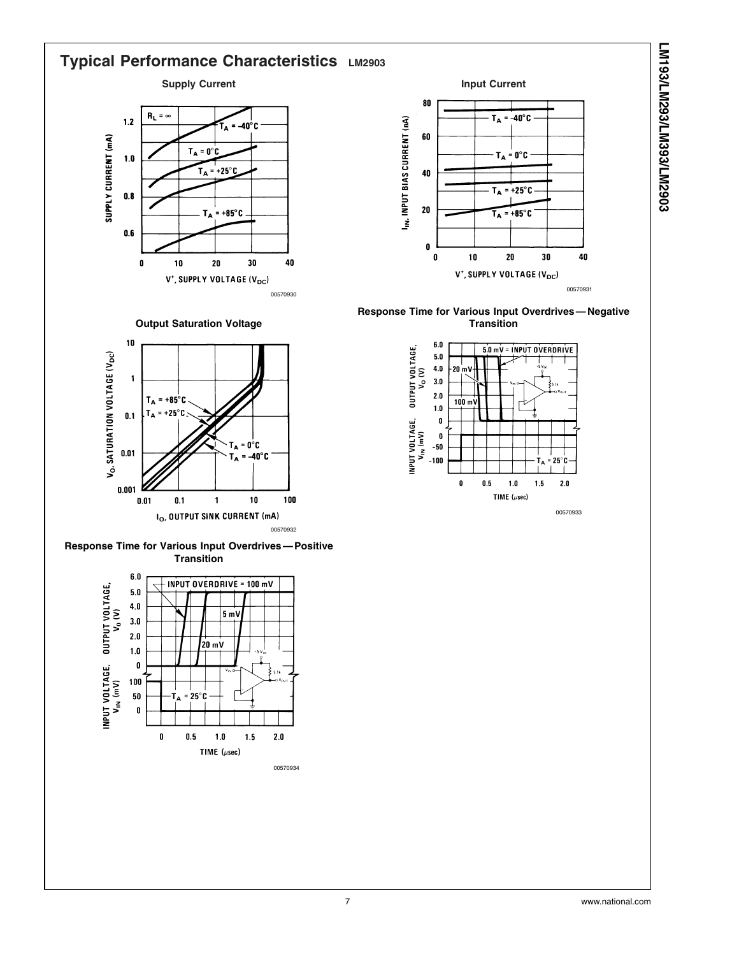![](_page_6_Figure_0.jpeg)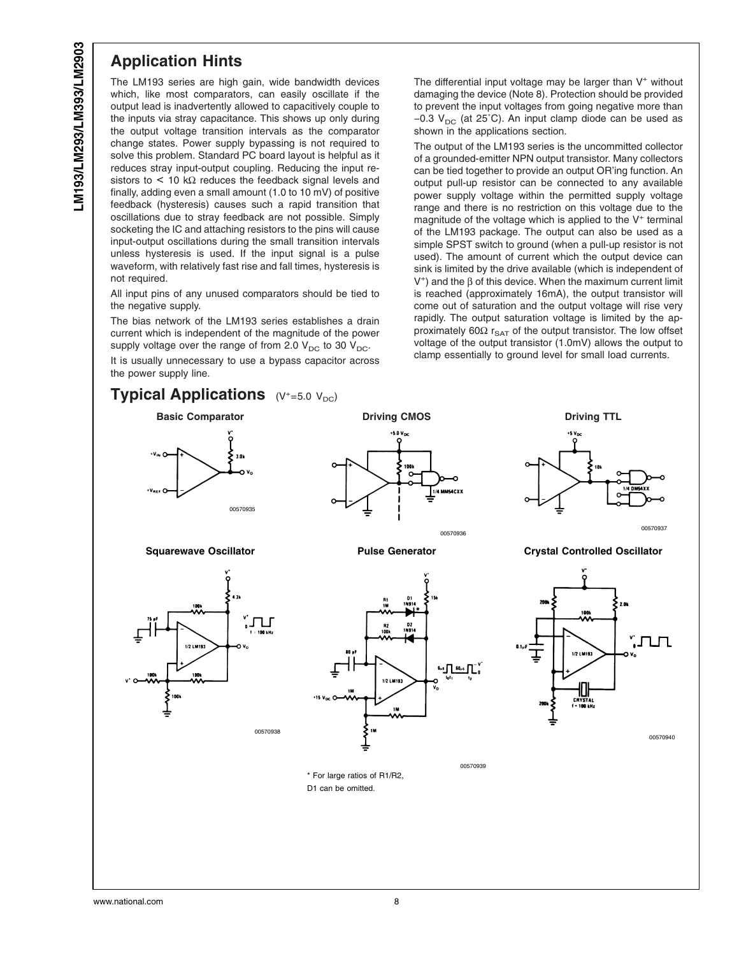#### **Application Hints**

The LM193 series are high gain, wide bandwidth devices which, like most comparators, can easily oscillate if the output lead is inadvertently allowed to capacitively couple to the inputs via stray capacitance. This shows up only during the output voltage transition intervals as the comparator change states. Power supply bypassing is not required to solve this problem. Standard PC board layout is helpful as it reduces stray input-output coupling. Reducing the input resistors to  $\leq$  10 k $\Omega$  reduces the feedback signal levels and finally, adding even a small amount (1.0 to 10 mV) of positive feedback (hysteresis) causes such a rapid transition that oscillations due to stray feedback are not possible. Simply socketing the IC and attaching resistors to the pins will cause input-output oscillations during the small transition intervals unless hysteresis is used. If the input signal is a pulse waveform, with relatively fast rise and fall times, hysteresis is not required.

All input pins of any unused comparators should be tied to the negative supply.

The bias network of the LM193 series establishes a drain current which is independent of the magnitude of the power supply voltage over the range of from 2.0  $V_{DC}$  to 30  $V_{DC}$ .

It is usually unnecessary to use a bypass capacitor across the power supply line.

The differential input voltage may be larger than  $V^+$  without damaging the device [\(Note 8\).](#page-4-0) Protection should be provided to prevent the input voltages from going negative more than −0.3 V<sub>DC</sub> (at 25°C). An input clamp diode can be used as shown in the applications section.

The output of the LM193 series is the uncommitted collector of a grounded-emitter NPN output transistor. Many collectors can be tied together to provide an output OR'ing function. An output pull-up resistor can be connected to any available power supply voltage within the permitted supply voltage range and there is no restriction on this voltage due to the magnitude of the voltage which is applied to the  $V^+$  terminal of the LM193 package. The output can also be used as a simple SPST switch to ground (when a pull-up resistor is not used). The amount of current which the output device can sink is limited by the drive available (which is independent of V<sup>+</sup>) and the  $β$  of this device. When the maximum current limit is reached (approximately 16mA), the output transistor will come out of saturation and the output voltage will rise very rapidly. The output saturation voltage is limited by the approximately 60Ω  $r_{\text{SAT}}$  of the output transistor. The low offset voltage of the output transistor (1.0mV) allows the output to clamp essentially to ground level for small load currents.

![](_page_7_Figure_8.jpeg)

![](_page_7_Figure_10.jpeg)

00570938

![](_page_7_Figure_11.jpeg)

![](_page_7_Figure_13.jpeg)

\* For large ratios of R1/R2, D1 can be omitted.

![](_page_7_Figure_15.jpeg)

<sup>00570936</sup> <sup>00570937</sup>

**Squarewave Oscillator Pulse Generator Crystal Controlled Oscillator**

![](_page_7_Figure_18.jpeg)

00570939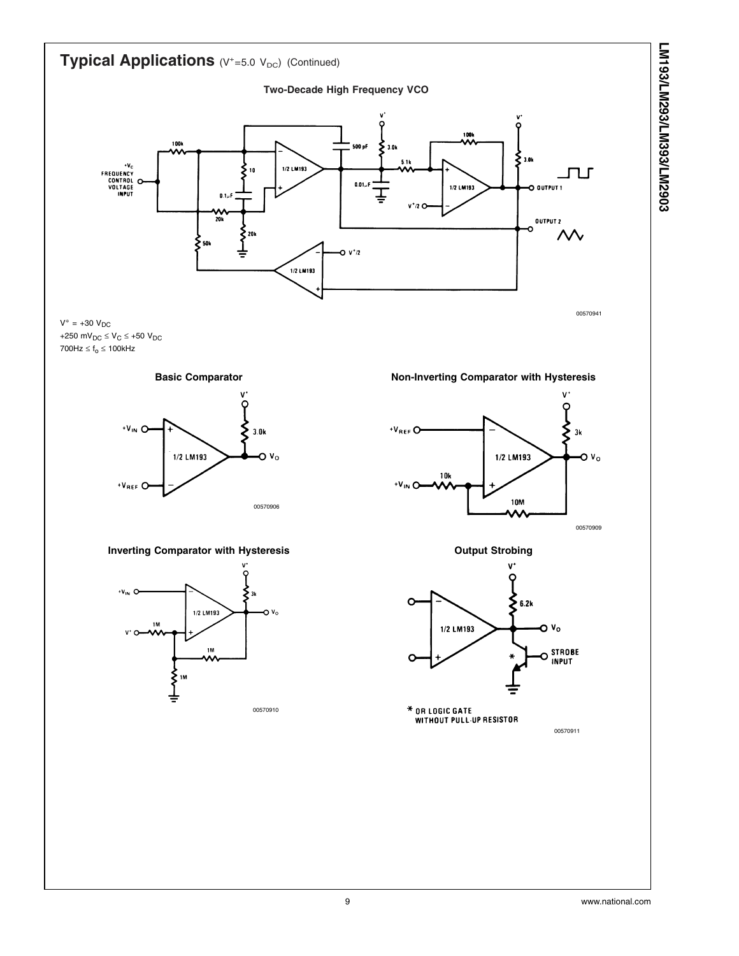![](_page_8_Figure_0.jpeg)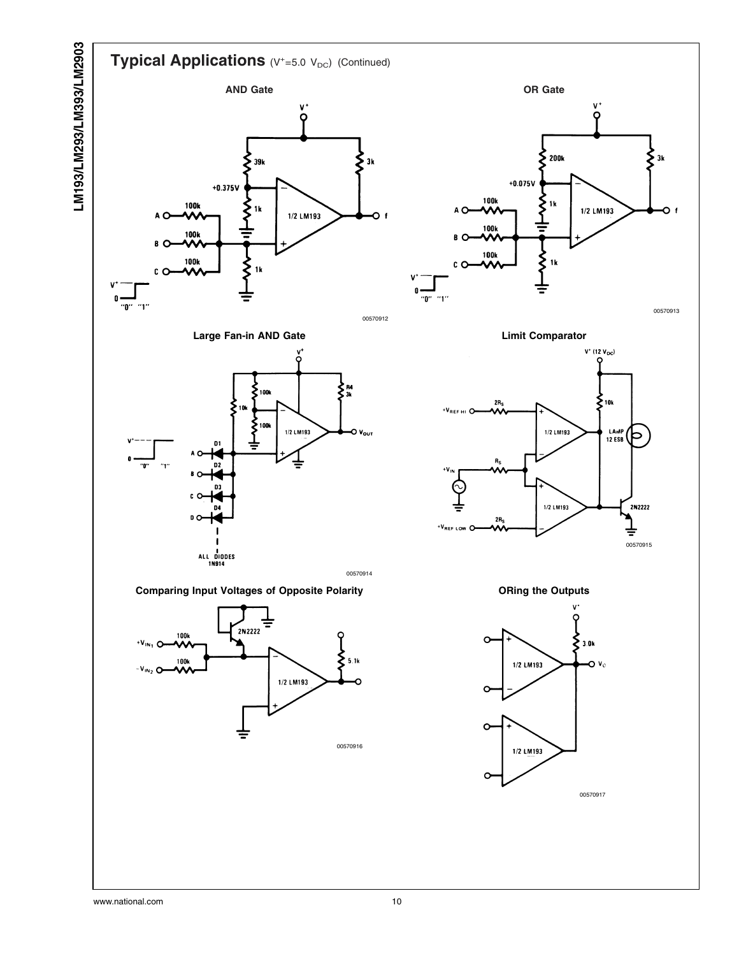# LM193/LM293/LM393/LM2903 **LM193/LM293/LM393/LM2903**

![](_page_9_Figure_1.jpeg)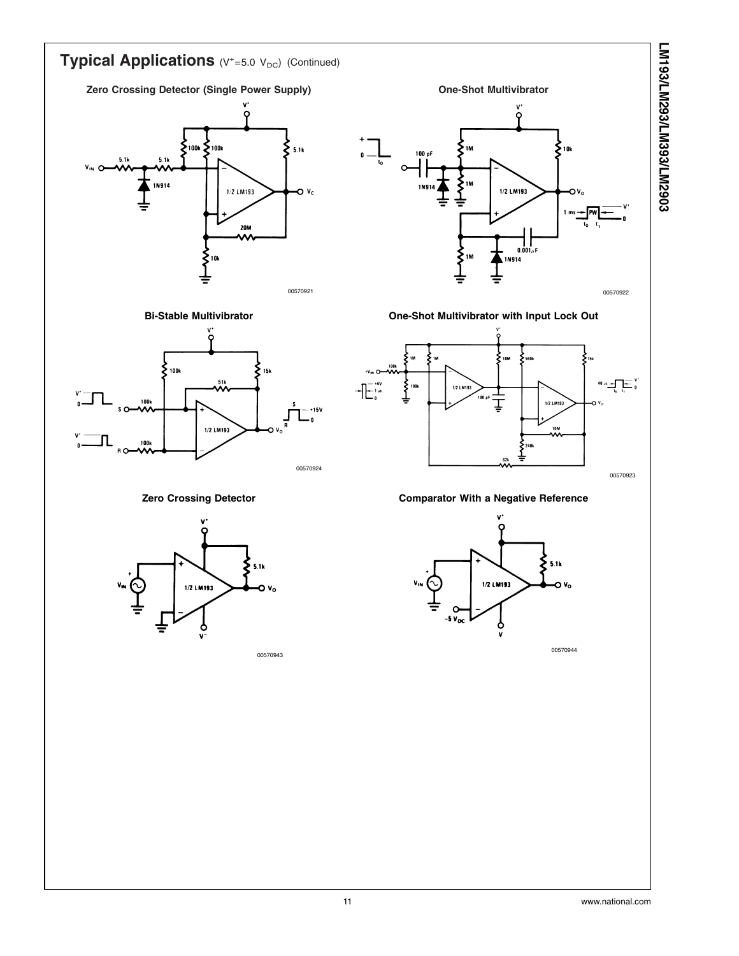![](_page_10_Figure_0.jpeg)

 $5.1k$ 1/2 LM193 n

<sup>00570943</sup> <sup>00570944</sup>

1/2 LM193

v.,

**LM193/LM293/LM393/LM2903**

LM193/LM293/LM393/LM2903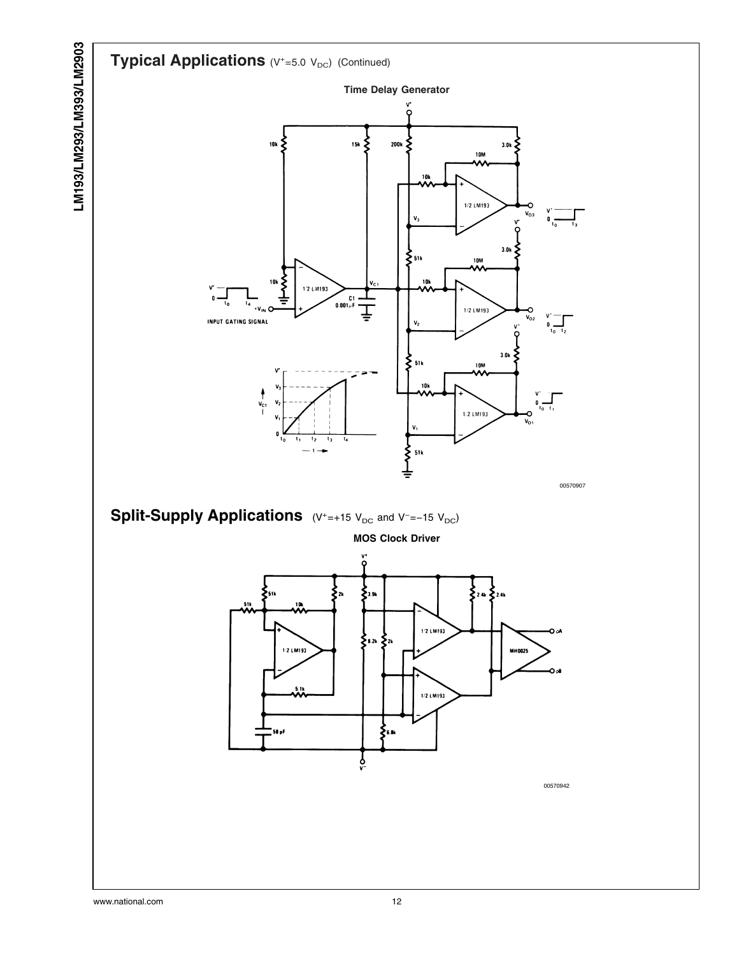![](_page_11_Figure_0.jpeg)

www.national.com 12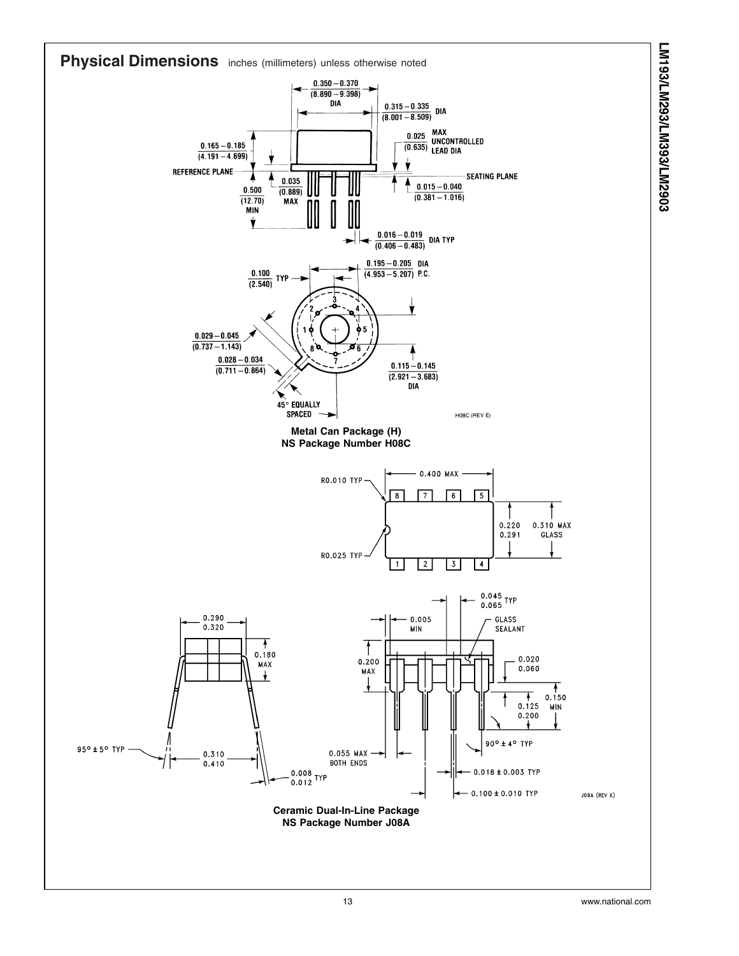![](_page_12_Figure_0.jpeg)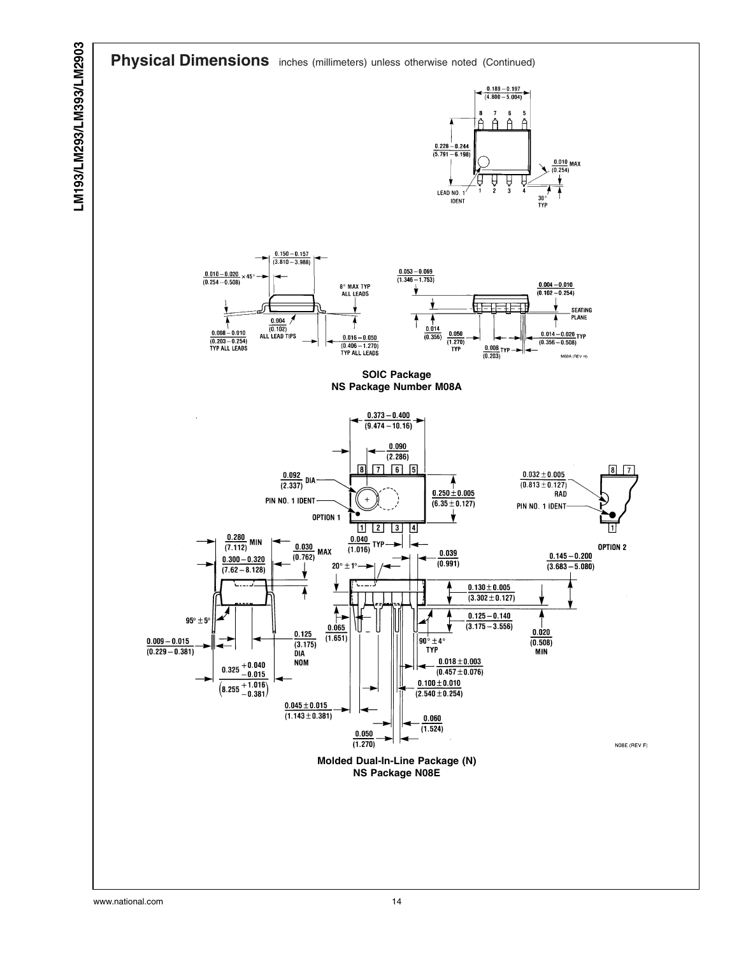![](_page_13_Figure_1.jpeg)